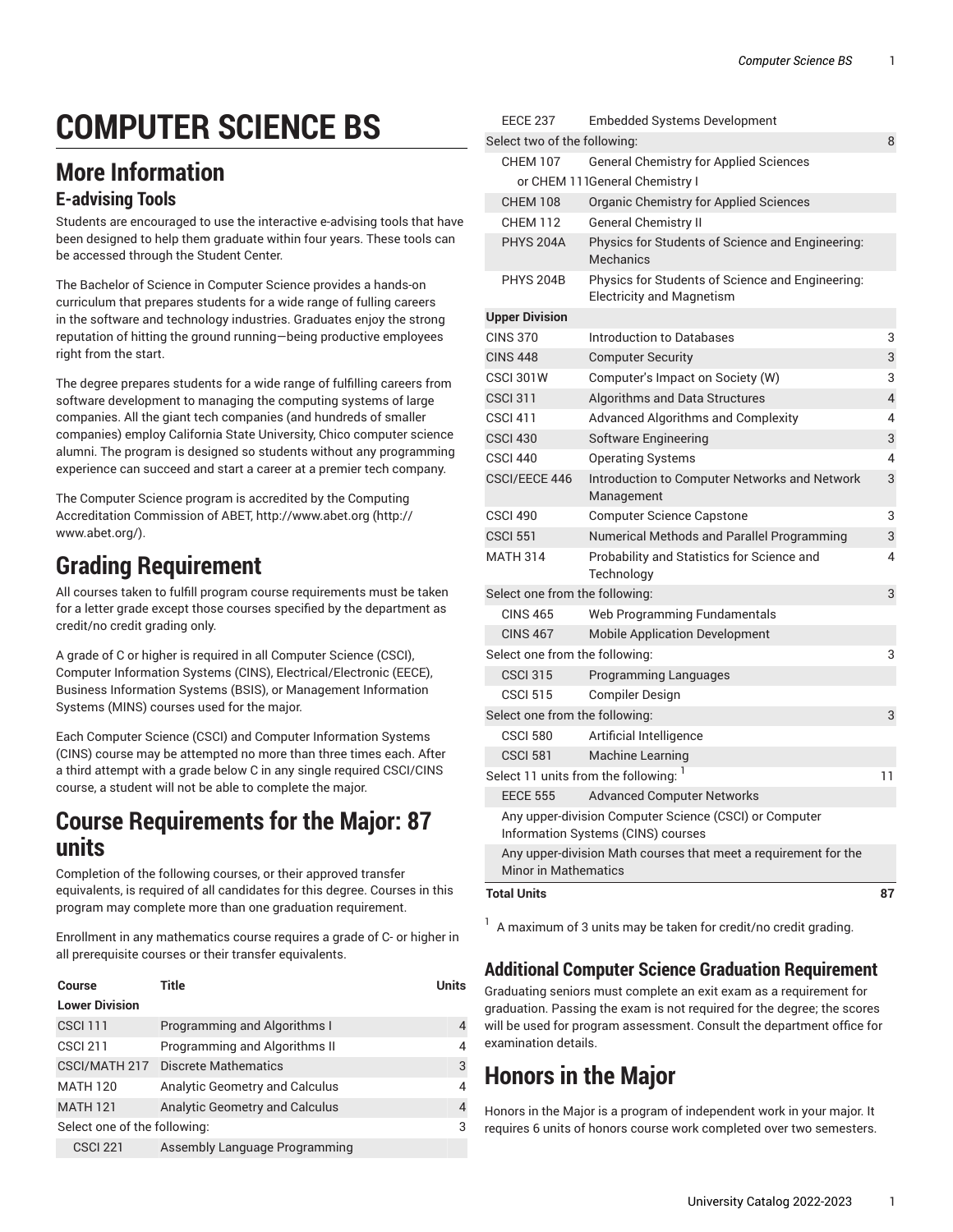# **COMPUTER SCIENCE BS**

# **More Information**

#### **E-advising Tools**

Students are encouraged to use the interactive e-advising tools that have been designed to help them graduate within four years. These tools can be accessed through the Student Center.

The Bachelor of Science in Computer Science provides a hands-on curriculum that prepares students for a wide range of fulling careers in the software and technology industries. Graduates enjoy the strong reputation of hitting the ground running—being productive employees right from the start.

The degree prepares students for a wide range of fulfilling careers from software development to managing the computing systems of large companies. All the giant tech companies (and hundreds of smaller companies) employ California State University, Chico computer science alumni. The program is designed so students without any programming experience can succeed and start a career at a premier tech company.

The Computer Science program is accredited by the Computing Accreditation Commission of ABET, [http://www.abet.org \(http://](http://www.abet.org/) [www.abet.org/\)](http://www.abet.org/).

## **Grading Requirement**

All courses taken to fulfill program course requirements must be taken for a letter grade except those courses specified by the department as credit/no credit grading only.

A grade of C or higher is required in all Computer Science (CSCI), Computer Information Systems (CINS), Electrical/Electronic (EECE), Business Information Systems (BSIS), or Management Information Systems (MINS) courses used for the major.

Each Computer Science (CSCI) and Computer Information Systems (CINS) course may be attempted no more than three times each. After a third attempt with a grade below C in any single required CSCI/CINS course, a student will not be able to complete the major.

#### **Course Requirements for the Major: 87 units**

Completion of the following courses, or their approved transfer equivalents, is required of all candidates for this degree. Courses in this program may complete more than one graduation requirement.

Enrollment in any mathematics course requires a grade of C- or higher in all prerequisite courses or their transfer equivalents.

| Course                       | Title                              | <b>Units</b> |
|------------------------------|------------------------------------|--------------|
| <b>Lower Division</b>        |                                    |              |
| <b>CSCI 111</b>              | Programming and Algorithms I       | 4            |
| <b>CSCI 211</b>              | Programming and Algorithms II      | 4            |
|                              | CSCI/MATH 217 Discrete Mathematics | 3            |
| <b>MATH 120</b>              | Analytic Geometry and Calculus     | 4            |
| <b>MATH 121</b>              | Analytic Geometry and Calculus     | 4            |
| Select one of the following: |                                    | 3            |
| <b>CSCI 221</b>              | Assembly Language Programming      |              |

| <b>Total Units</b>                    |                                                                                              | 87             |
|---------------------------------------|----------------------------------------------------------------------------------------------|----------------|
| <b>Minor in Mathematics</b>           | Any upper-division Math courses that meet a requirement for the                              |                |
|                                       | Any upper-division Computer Science (CSCI) or Computer<br>Information Systems (CINS) courses |                |
| <b>EECE 555</b>                       | <b>Advanced Computer Networks</b>                                                            |                |
| Select 11 units from the following: 1 |                                                                                              | 11             |
| <b>CSCI 581</b>                       | <b>Machine Learning</b>                                                                      |                |
| <b>CSCI 580</b>                       | Artificial Intelligence                                                                      |                |
| Select one from the following:        |                                                                                              | 3              |
| <b>CSCI 515</b>                       | <b>Compiler Design</b>                                                                       |                |
| <b>CSCI 315</b>                       | <b>Programming Languages</b>                                                                 |                |
| Select one from the following:        |                                                                                              |                |
| <b>CINS 467</b>                       | <b>Mobile Application Development</b>                                                        |                |
| <b>CINS 465</b>                       | Web Programming Fundamentals                                                                 |                |
| Select one from the following:        |                                                                                              |                |
| <b>MATH 314</b>                       | Probability and Statistics for Science and<br>Technology                                     | 4              |
| <b>CSCI 551</b>                       | Numerical Methods and Parallel Programming                                                   | 3              |
| <b>CSCI 490</b>                       | <b>Computer Science Capstone</b>                                                             | 3              |
| CSCI/EECE 446                         | Introduction to Computer Networks and Network<br>Management                                  | 3              |
| <b>CSCI 440</b>                       | <b>Operating Systems</b>                                                                     | 4              |
| <b>CSCI 430</b>                       | Software Engineering                                                                         | 3              |
| <b>CSCI 411</b>                       | <b>Advanced Algorithms and Complexity</b>                                                    | 4              |
| <b>CSCI 311</b>                       | Algorithms and Data Structures                                                               | $\overline{4}$ |
| <b>CSCI 301W</b>                      | Computer's Impact on Society (W)                                                             | 3              |
| <b>CINS 448</b>                       | <b>Computer Security</b>                                                                     | 3              |
| <b>CINS 370</b>                       | Introduction to Databases                                                                    | 3              |
| <b>Upper Division</b>                 |                                                                                              |                |
| <b>PHYS 204B</b>                      | Physics for Students of Science and Engineering:<br><b>Electricity and Magnetism</b>         |                |
| <b>PHYS 204A</b>                      | Physics for Students of Science and Engineering:<br><b>Mechanics</b>                         |                |
| <b>CHEM 112</b>                       | <b>General Chemistry II</b>                                                                  |                |
| <b>CHEM 108</b>                       | <b>Organic Chemistry for Applied Sciences</b>                                                |                |
|                                       | or CHEM 111General Chemistry I                                                               |                |
| <b>CHEM 107</b>                       | <b>General Chemistry for Applied Sciences</b>                                                |                |
| Select two of the following:          |                                                                                              | 8              |
| <b>EECE 237</b>                       | Embedded Systems Development                                                                 |                |

 $1$  A maximum of 3 units may be taken for credit/no credit grading.

#### **Additional Computer Science Graduation Requirement**

Graduating seniors must complete an exit exam as a requirement for graduation. Passing the exam is not required for the degree; the scores will be used for program assessment. Consult the department office for examination details.

## **Honors in the Major**

Honors in the Major is a program of independent work in your major. It requires 6 units of honors course work completed over two semesters.